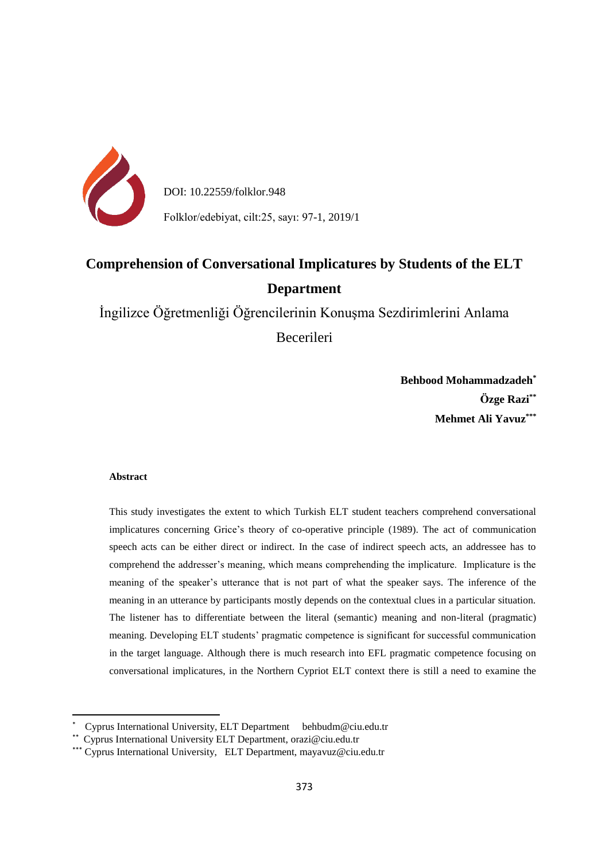

DOI: 10.22559/folklor.948

Folklor/edebiyat, cilt:25, sayı: 97-1, 2019/1

# **Comprehension of Conversational Implicatures by Students of the ELT Department**

İngilizce Öğretmenliği Öğrencilerinin Konuşma Sezdirimlerini Anlama

Becerileri

**Behbood Mohammadzadeh\* Özge Razi\*\* Mehmet Ali Yavuz\*\*\***

## **Abstract**

**.** 

This study investigates the extent to which Turkish ELT student teachers comprehend conversational implicatures concerning Grice's theory of co-operative principle (1989). The act of communication speech acts can be either direct or indirect. In the case of indirect speech acts, an addressee has to comprehend the addresser's meaning, which means comprehending the implicature. Implicature is the meaning of the speaker's utterance that is not part of what the speaker says. The inference of the meaning in an utterance by participants mostly depends on the contextual clues in a particular situation. The listener has to differentiate between the literal (semantic) meaning and non-literal (pragmatic) meaning. Developing ELT students' pragmatic competence is significant for successful communication in the target language. Although there is much research into EFL pragmatic competence focusing on conversational implicatures, in the Northern Cypriot ELT context there is still a need to examine the

<sup>\*</sup> Cyprus International University, ELT Department behbudm@ciu.edu.tr

<sup>\*\*</sup> Cyprus International University ELT Department, orazi@ciu.edu.tr

<sup>\*\*\*</sup> Cyprus International University, ELT Department, mayavuz@ciu.edu.tr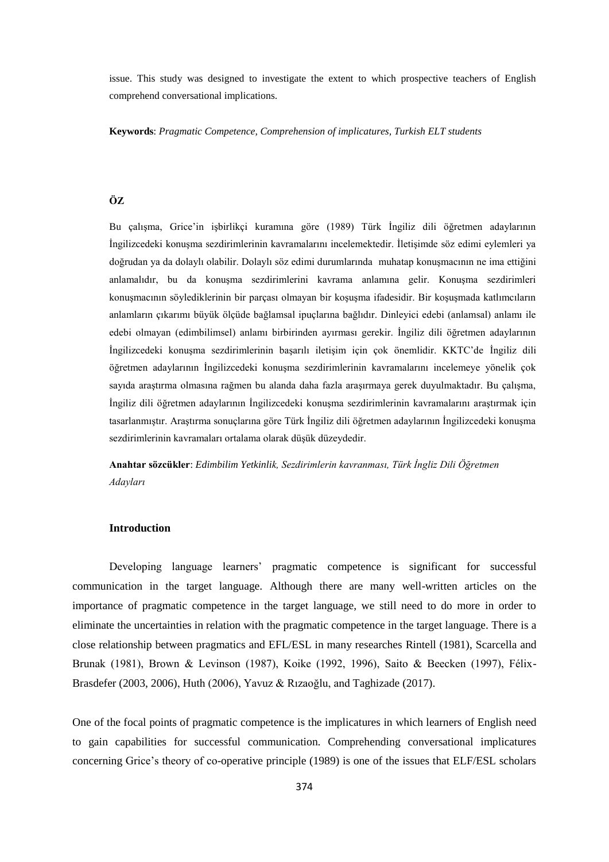issue. This study was designed to investigate the extent to which prospective teachers of English comprehend conversational implications.

**Keywords**: *Pragmatic Competence, Comprehension of implicatures, Turkish ELT students*

# **ÖZ**

Bu çalışma, Grice'in işbirlikçi kuramına göre (1989) Türk İngiliz dili öğretmen adaylarının İngilizcedeki konuşma sezdirimlerinin kavramalarını incelemektedir. İletişimde söz edimi eylemleri ya doğrudan ya da dolaylı olabilir. Dolaylı söz edimi durumlarında muhatap konuşmacının ne ima ettiğini anlamalıdır, bu da konuşma sezdirimlerini kavrama anlamına gelir. Konuşma sezdirimleri konuşmacının söylediklerinin bir parçası olmayan bir koşuşma ifadesidir. Bir koşuşmada katlımcıların anlamların çıkarımı büyük ölçüde bağlamsal ipuçlarına bağlıdır. Dinleyici edebi (anlamsal) anlamı ile edebi olmayan (edimbilimsel) anlamı birbirinden ayırması gerekir. İngiliz dili öğretmen adaylarının İngilizcedeki konuşma sezdirimlerinin başarılı iletişim için çok önemlidir. KKTC'de İngiliz dili öğretmen adaylarının İngilizcedeki konuşma sezdirimlerinin kavramalarını incelemeye yönelik çok sayıda araştırma olmasına rağmen bu alanda daha fazla araşırmaya gerek duyulmaktadır. Bu çalışma, İngiliz dili öğretmen adaylarının İngilizcedeki konuşma sezdirimlerinin kavramalarını araştırmak için tasarlanmıştır. Araştırma sonuçlarına göre Türk İngiliz dili öğretmen adaylarının İngilizcedeki konuşma sezdirimlerinin kavramaları ortalama olarak düşük düzeydedir.

**Anahtar sözcükler**: *Edimbilim Yetkinlik, Sezdirimlerin kavranması, Türk İngliz Dili Öğretmen Adayları*

#### **Introduction**

Developing language learners' pragmatic competence is significant for successful communication in the target language. Although there are many well-written articles on the importance of pragmatic competence in the target language, we still need to do more in order to eliminate the uncertainties in relation with the pragmatic competence in the target language. There is a close relationship between pragmatics and EFL/ESL in many researches Rintell (1981), Scarcella and Brunak (1981), Brown & Levinson (1987), Koike (1992, 1996), Saito & Beecken (1997), Félix-Brasdefer (2003, 2006), Huth (2006), Yavuz & Rızaoğlu, and Taghizade (2017).

One of the focal points of pragmatic competence is the implicatures in which learners of English need to gain capabilities for successful communication. Comprehending conversational implicatures concerning Grice's theory of co-operative principle (1989) is one of the issues that ELF/ESL scholars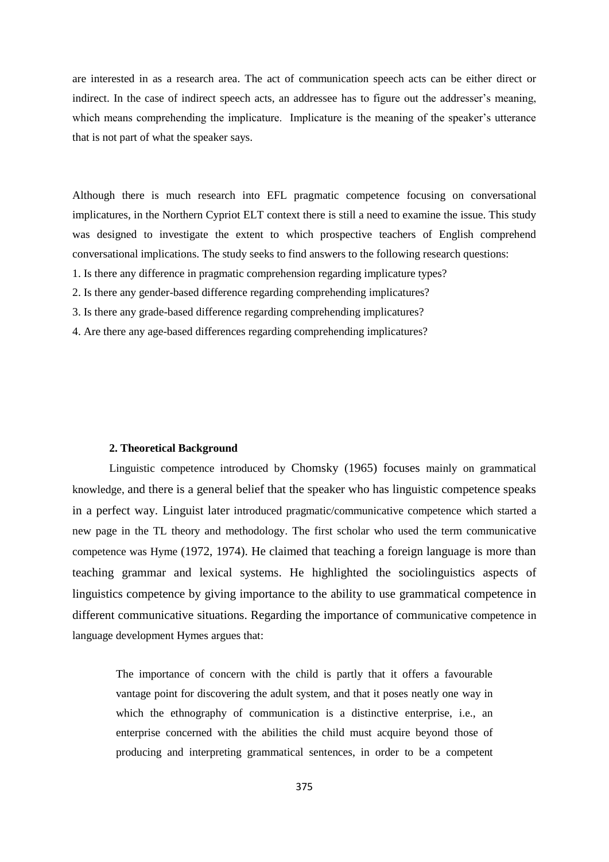are interested in as a research area. The act of communication speech acts can be either direct or indirect. In the case of indirect speech acts, an addressee has to figure out the addresser's meaning, which means comprehending the implicature. Implicature is the meaning of the speaker's utterance that is not part of what the speaker says.

Although there is much research into EFL pragmatic competence focusing on conversational implicatures, in the Northern Cypriot ELT context there is still a need to examine the issue. This study was designed to investigate the extent to which prospective teachers of English comprehend conversational implications. The study seeks to find answers to the following research questions:

- 1. Is there any difference in pragmatic comprehension regarding implicature types?
- 2. Is there any gender-based difference regarding comprehending implicatures?
- 3. Is there any grade-based difference regarding comprehending implicatures?
- 4. Are there any age-based differences regarding comprehending implicatures?

#### **2. Theoretical Background**

Linguistic competence introduced by Chomsky (1965) focuses mainly on grammatical knowledge, and there is a general belief that the speaker who has linguistic competence speaks in a perfect way. Linguist later introduced pragmatic/communicative competence which started a new page in the TL theory and methodology. The first scholar who used the term communicative competence was Hyme (1972, 1974). He claimed that teaching a foreign language is more than teaching grammar and lexical systems. He highlighted the sociolinguistics aspects of linguistics competence by giving importance to the ability to use grammatical competence in different communicative situations. Regarding the importance of communicative competence in language development Hymes argues that:

The importance of concern with the child is partly that it offers a favourable vantage point for discovering the adult system, and that it poses neatly one way in which the ethnography of communication is a distinctive enterprise, i.e., an enterprise concerned with the abilities the child must acquire beyond those of producing and interpreting grammatical sentences, in order to be a competent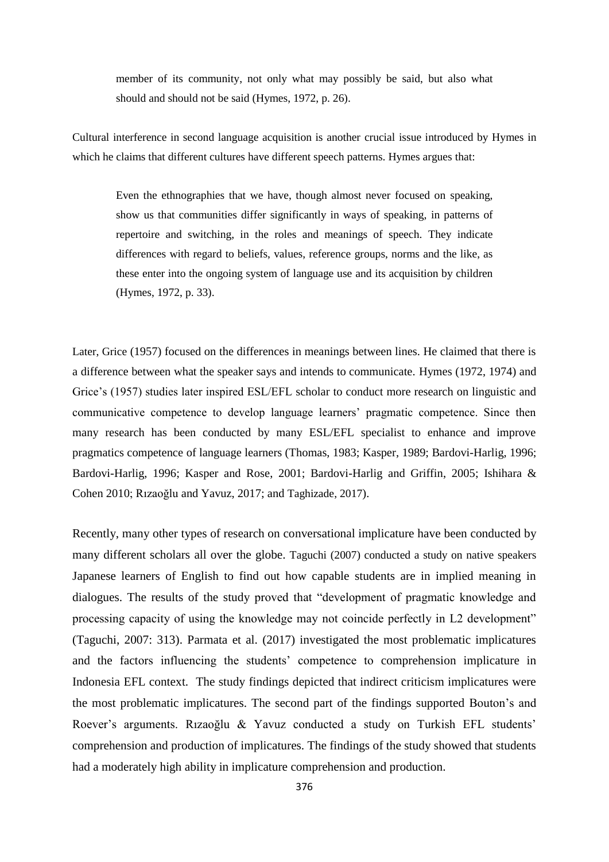member of its community, not only what may possibly be said, but also what should and should not be said (Hymes, 1972, p. 26).

Cultural interference in second language acquisition is another crucial issue introduced by Hymes in which he claims that different cultures have different speech patterns. Hymes argues that:

Even the ethnographies that we have, though almost never focused on speaking, show us that communities differ significantly in ways of speaking, in patterns of repertoire and switching, in the roles and meanings of speech. They indicate differences with regard to beliefs, values, reference groups, norms and the like, as these enter into the ongoing system of language use and its acquisition by children (Hymes, 1972, p. 33).

Later, Grice (1957) focused on the differences in meanings between lines. He claimed that there is a difference between what the speaker says and intends to communicate. Hymes (1972, 1974) and Grice's (1957) studies later inspired ESL/EFL scholar to conduct more research on linguistic and communicative competence to develop language learners' pragmatic competence. Since then many research has been conducted by many ESL/EFL specialist to enhance and improve pragmatics competence of language learners (Thomas, 1983; Kasper, 1989; Bardovi-Harlig, 1996; Bardovi-Harlig, 1996; Kasper and Rose, 2001; Bardovi-Harlig and Griffin, 2005; Ishihara & Cohen 2010; Rızaoğlu and Yavuz, 2017; and Taghizade, 2017).

Recently, many other types of research on conversational implicature have been conducted by many different scholars all over the globe. Taguchi (2007) conducted a study on native speakers Japanese learners of English to find out how capable students are in implied meaning in dialogues. The results of the study proved that "development of pragmatic knowledge and processing capacity of using the knowledge may not coincide perfectly in L2 development" (Taguchi, 2007: 313). Parmata et al. (2017) investigated the most problematic implicatures and the factors influencing the students' competence to comprehension implicature in Indonesia EFL context. The study findings depicted that indirect criticism implicatures were the most problematic implicatures. The second part of the findings supported Bouton's and Roever's arguments. Rızaoğlu & Yavuz conducted a study on Turkish EFL students' comprehension and production of implicatures. The findings of the study showed that students had a moderately high ability in implicature comprehension and production.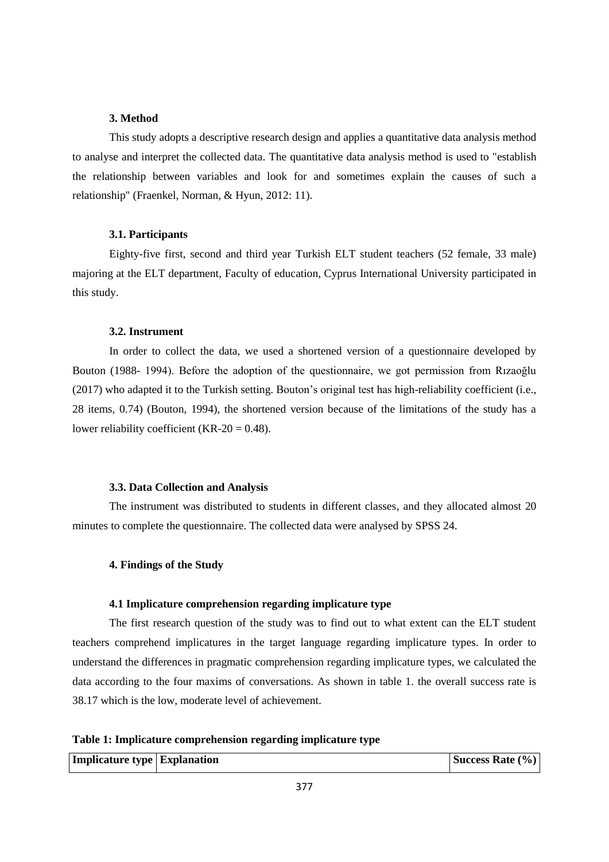## **3. Method**

This study adopts a descriptive research design and applies a quantitative data analysis method to analyse and interpret the collected data. The quantitative data analysis method is used to "establish the relationship between variables and look for and sometimes explain the causes of such a relationship" (Fraenkel, Norman, & Hyun, 2012: 11).

## **3.1. Participants**

Eighty-five first, second and third year Turkish ELT student teachers (52 female, 33 male) majoring at the ELT department, Faculty of education, Cyprus International University participated in this study.

## **3.2. Instrument**

In order to collect the data, we used a shortened version of a questionnaire developed by Bouton (1988- 1994). Before the adoption of the questionnaire, we got permission from Rızaoğlu (2017) who adapted it to the Turkish setting. Bouton's original test has high-reliability coefficient (i.e., 28 items, 0.74) (Bouton, 1994), the shortened version because of the limitations of the study has a lower reliability coefficient (KR-20 =  $0.48$ ).

## **3.3. Data Collection and Analysis**

The instrument was distributed to students in different classes, and they allocated almost 20 minutes to complete the questionnaire. The collected data were analysed by SPSS 24.

## **4. Findings of the Study**

#### **4.1 Implicature comprehension regarding implicature type**

The first research question of the study was to find out to what extent can the ELT student teachers comprehend implicatures in the target language regarding implicature types. In order to understand the differences in pragmatic comprehension regarding implicature types, we calculated the data according to the four maxims of conversations. As shown in table 1. the overall success rate is 38.17 which is the low, moderate level of achievement.

**Table 1: Implicature comprehension regarding implicature type**

| <b>Implicature type Explanation</b> |  | Success Rate (%) |
|-------------------------------------|--|------------------|
|-------------------------------------|--|------------------|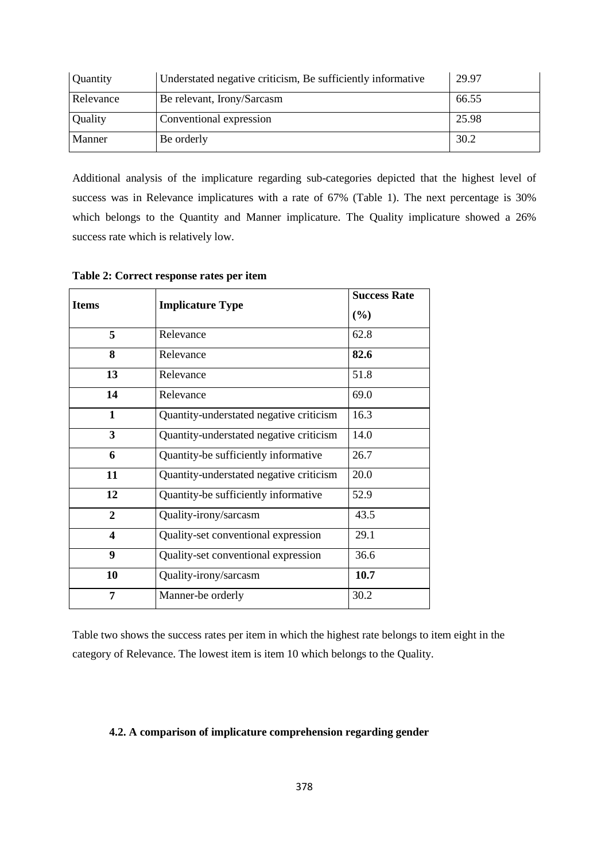| Quantity  | Understated negative criticism, Be sufficiently informative | 29.97 |
|-----------|-------------------------------------------------------------|-------|
| Relevance | Be relevant, Irony/Sarcasm                                  | 66.55 |
| Quality   | Conventional expression                                     | 25.98 |
| Manner    | Be orderly                                                  | 30.2  |

Additional analysis of the implicature regarding sub-categories depicted that the highest level of success was in Relevance implicatures with a rate of 67% (Table 1). The next percentage is 30% which belongs to the Quantity and Manner implicature. The Quality implicature showed a 26% success rate which is relatively low.

| <b>Items</b>            | <b>Implicature Type</b>                 | <b>Success Rate</b> |  |
|-------------------------|-----------------------------------------|---------------------|--|
|                         |                                         | (%)                 |  |
| 5                       | Relevance                               | 62.8                |  |
| 8                       | Relevance                               | 82.6                |  |
| 13                      | Relevance                               | 51.8                |  |
| 14                      | Relevance                               | 69.0                |  |
| $\mathbf{1}$            | Quantity-understated negative criticism | 16.3                |  |
| $\overline{3}$          | Quantity-understated negative criticism | 14.0                |  |
| 6                       | Quantity-be sufficiently informative    | 26.7                |  |
| 11                      | Quantity-understated negative criticism | 20.0                |  |
| 12                      | Quantity-be sufficiently informative    | 52.9                |  |
| $\overline{2}$          | Quality-irony/sarcasm                   | 43.5                |  |
| $\overline{\mathbf{4}}$ | Quality-set conventional expression     | 29.1                |  |
| $\boldsymbol{9}$        | Quality-set conventional expression     | 36.6                |  |
| 10                      | Quality-irony/sarcasm                   | 10.7                |  |
| 7                       | Manner-be orderly                       |                     |  |

**Table 2: Correct response rates per item**

Table two shows the success rates per item in which the highest rate belongs to item eight in the category of Relevance. The lowest item is item 10 which belongs to the Quality.

## **4.2. A comparison of implicature comprehension regarding gender**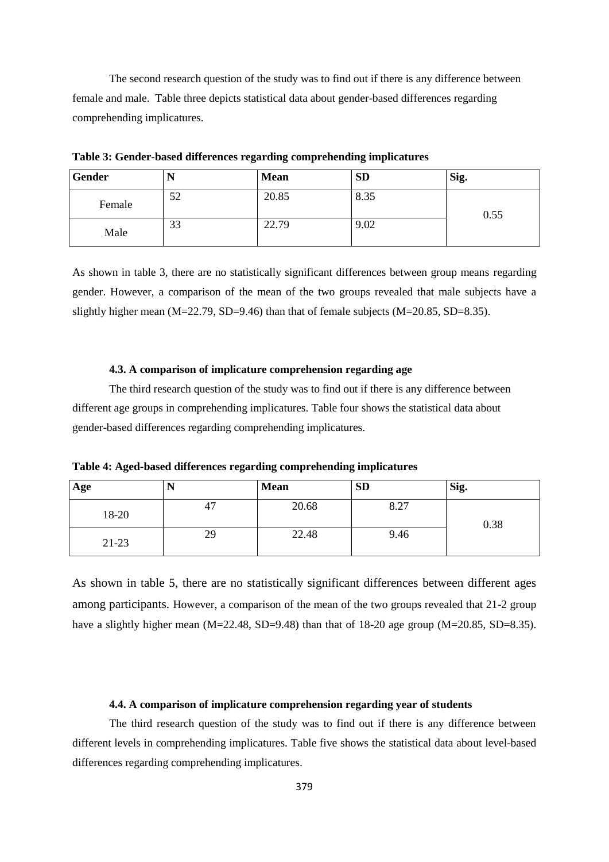The second research question of the study was to find out if there is any difference between female and male. Table three depicts statistical data about gender-based differences regarding comprehending implicatures.

| Gender | 17 | <b>Mean</b> | <b>SD</b> | Sig. |
|--------|----|-------------|-----------|------|
| Female | 52 | 20.85       | 8.35      | 0.55 |
| Male   | 33 | 22.79       | 9.02      |      |

**Table 3: Gender-based differences regarding comprehending implicatures**

As shown in table 3, there are no statistically significant differences between group means regarding gender. However, a comparison of the mean of the two groups revealed that male subjects have a slightly higher mean  $(M=22.79, SD=9.46)$  than that of female subjects  $(M=20.85, SD=8.35)$ .

## **4.3. A comparison of implicature comprehension regarding age**

The third research question of the study was to find out if there is any difference between different age groups in comprehending implicatures. Table four shows the statistical data about gender-based differences regarding comprehending implicatures.

**Table 4: Aged-based differences regarding comprehending implicatures**

| Age     |    | <b>Mean</b> | <b>SD</b> | Sig. |
|---------|----|-------------|-----------|------|
| 18-20   | 47 | 20.68       | 8.27      | 0.38 |
| $21-23$ | 29 | 22.48       | 9.46      |      |

As shown in table 5, there are no statistically significant differences between different ages among participants. However, a comparison of the mean of the two groups revealed that 21-2 group have a slightly higher mean (M=22.48, SD=9.48) than that of 18-20 age group (M=20.85, SD=8.35).

#### **4.4. A comparison of implicature comprehension regarding year of students**

The third research question of the study was to find out if there is any difference between different levels in comprehending implicatures. Table five shows the statistical data about level-based differences regarding comprehending implicatures.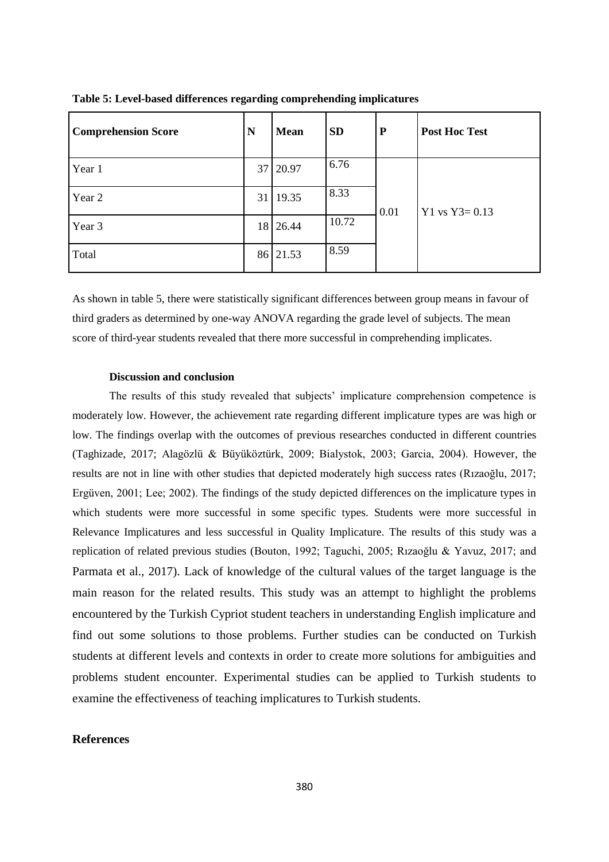| <b>Comprehension Score</b> | N  | <b>Mean</b> | <b>SD</b> | ${\bf P}$ | <b>Post Hoc Test</b> |
|----------------------------|----|-------------|-----------|-----------|----------------------|
| Year 1                     | 37 | 20.97       | 6.76      |           | $Y1$ vs $Y3 = 0.13$  |
| Year 2                     |    | 31 19.35    | 8.33      | 0.01      |                      |
| Year 3                     |    | 18 26.44    | 10.72     |           |                      |
| Total                      |    | 86 21.53    | 8.59      |           |                      |

**Table 5: Level-based differences regarding comprehending implicatures**

As shown in table 5, there were statistically significant differences between group means in favour of third graders as determined by one-way ANOVA regarding the grade level of subjects. The mean score of third-year students revealed that there more successful in comprehending implicates.

## **Discussion and conclusion**

The results of this study revealed that subjects' implicature comprehension competence is moderately low. However, the achievement rate regarding different implicature types are was high or low. The findings overlap with the outcomes of previous researches conducted in different countries (Taghizade, 2017; Alagözlü & Büyüköztürk, 2009; Bialystok, 2003; Garcia, 2004). However, the results are not in line with other studies that depicted moderately high success rates (Rızaoğlu, 2017; Ergüven, 2001; Lee; 2002). The findings of the study depicted differences on the implicature types in which students were more successful in some specific types. Students were more successful in Relevance Implicatures and less successful in Quality Implicature. The results of this study was a replication of related previous studies (Bouton, 1992; Taguchi, 2005; Rızaoğlu & Yavuz, 2017; and Parmata et al., 2017). Lack of knowledge of the cultural values of the target language is the main reason for the related results. This study was an attempt to highlight the problems encountered by the Turkish Cypriot student teachers in understanding English implicature and find out some solutions to those problems. Further studies can be conducted on Turkish students at different levels and contexts in order to create more solutions for ambiguities and problems student encounter. Experimental studies can be applied to Turkish students to examine the effectiveness of teaching implicatures to Turkish students.

## **References**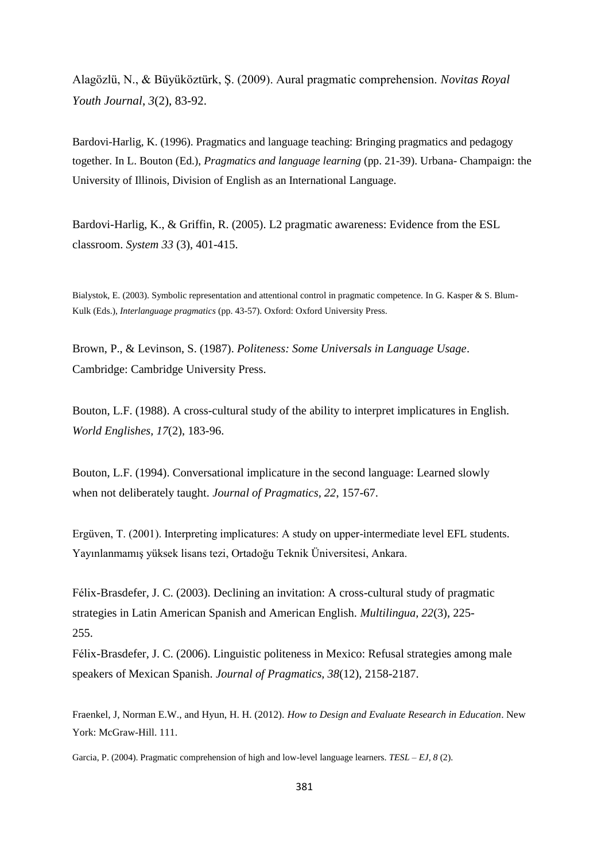Alagözlü, N., & Büyüköztürk, Ş. (2009). Aural pragmatic comprehension. *Novitas Royal Youth Journal*, *3*(2), 83-92.

Bardovi-Harlig, K. (1996). Pragmatics and language teaching: Bringing pragmatics and pedagogy together. In L. Bouton (Ed.), *Pragmatics and language learning* (pp. 21-39). Urbana- Champaign: the University of Illinois, Division of English as an International Language.

Bardovi-Harlig, K., & Griffin, R. (2005). L2 pragmatic awareness: Evidence from the ESL classroom. *System 33* (3), 401-415.

Bialystok, E. (2003). Symbolic representation and attentional control in pragmatic competence. In G. Kasper & S. Blum-Kulk (Eds.), *Interlanguage pragmatics* (pp. 43-57). Oxford: Oxford University Press.

Brown, P., & Levinson, S. (1987). *Politeness: Some Universals in Language Usage*. Cambridge: Cambridge University Press.

Bouton, L.F. (1988). A cross-cultural study of the ability to interpret implicatures in English. *World Englishes, 17*(2), 183-96.

Bouton, L.F. (1994). Conversational implicature in the second language: Learned slowly when not deliberately taught. *Journal of Pragmatics, 22*, 157-67.

Ergüven, T. (2001). Interpreting implicatures: A study on upper-intermediate level EFL students. Yayınlanmamış yüksek lisans tezi, Ortadoğu Teknik Üniversitesi, Ankara.

Félix-Brasdefer, J. C. (2003). Declining an invitation: A cross-cultural study of pragmatic strategies in Latin American Spanish and American English. *Multilingua, 22*(3), 225- 255.

Félix-Brasdefer, J. C. (2006). Linguistic politeness in Mexico: Refusal strategies among male speakers of Mexican Spanish. *Journal of Pragmatics, 38*(12), 2158-2187.

Fraenkel, J, Norman E.W., and Hyun, H. H. (2012). *How to Design and Evaluate Research in Education*. New York: McGraw-Hill. 111.

Garcia, P. (2004). Pragmatic comprehension of high and low-level language learners. *TESL – EJ, 8* (2).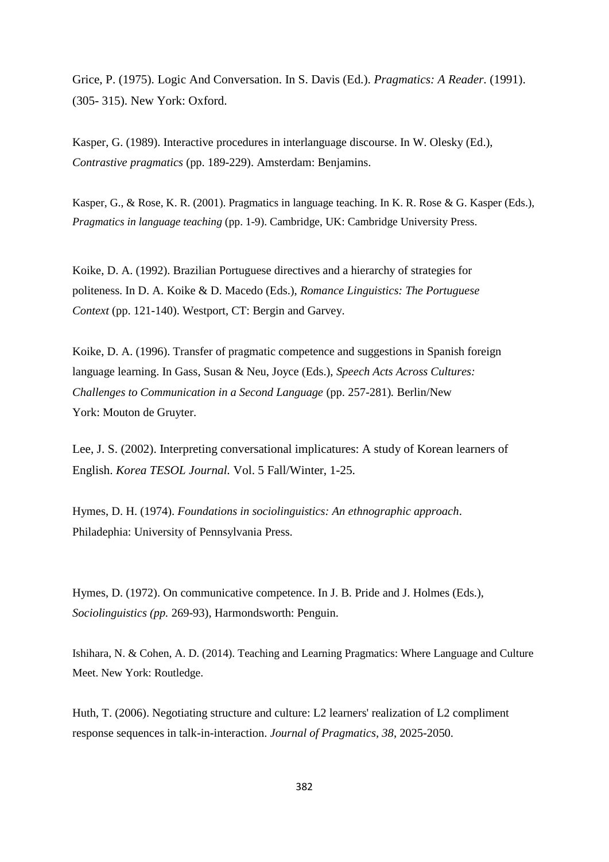Grice, P. (1975). Logic And Conversation. In S. Davis (Ed.). *Pragmatics: A Reader.* (1991). (305- 315). New York: Oxford.

Kasper, G. (1989). Interactive procedures in interlanguage discourse. In W. Olesky (Ed.), *Contrastive pragmatics* (pp. 189-229). Amsterdam: Benjamins.

Kasper, G., & Rose, K. R. (2001). Pragmatics in language teaching. In K. R. Rose & G. Kasper (Eds.), *Pragmatics in language teaching* (pp. 1-9). Cambridge, UK: Cambridge University Press.

Koike, D. A. (1992). Brazilian Portuguese directives and a hierarchy of strategies for politeness. In D. A. Koike & D. Macedo (Eds.), *Romance Linguistics: The Portuguese Context* (pp. 121-140). Westport, CT: Bergin and Garvey.

Koike, D. A. (1996). Transfer of pragmatic competence and suggestions in Spanish foreign language learning. In Gass, Susan & Neu, Joyce (Eds.), *Speech Acts Across Cultures: Challenges to Communication in a Second Language* (pp. 257-281)*.* Berlin/New York: Mouton de Gruyter.

Lee, J. S. (2002). Interpreting conversational implicatures: A study of Korean learners of English. *Korea TESOL Journal.* Vol. 5 Fall/Winter, 1-25.

Hymes, D. H. (1974). *Foundations in sociolinguistics: An ethnographic approach*. Philadephia: University of Pennsylvania Press.

Hymes, D. (1972). On communicative competence. In J. B. Pride and J. Holmes (Eds.), *Sociolinguistics (pp.* 269-93), Harmondsworth: Penguin.

Ishihara, N. & Cohen, A. D. (2014). Teaching and Learning Pragmatics: Where Language and Culture Meet. New York: Routledge.

Huth, T. (2006). Negotiating structure and culture: L2 learners' realization of L2 compliment response sequences in talk-in-interaction. *Journal of Pragmatics, 38*, 2025-2050.